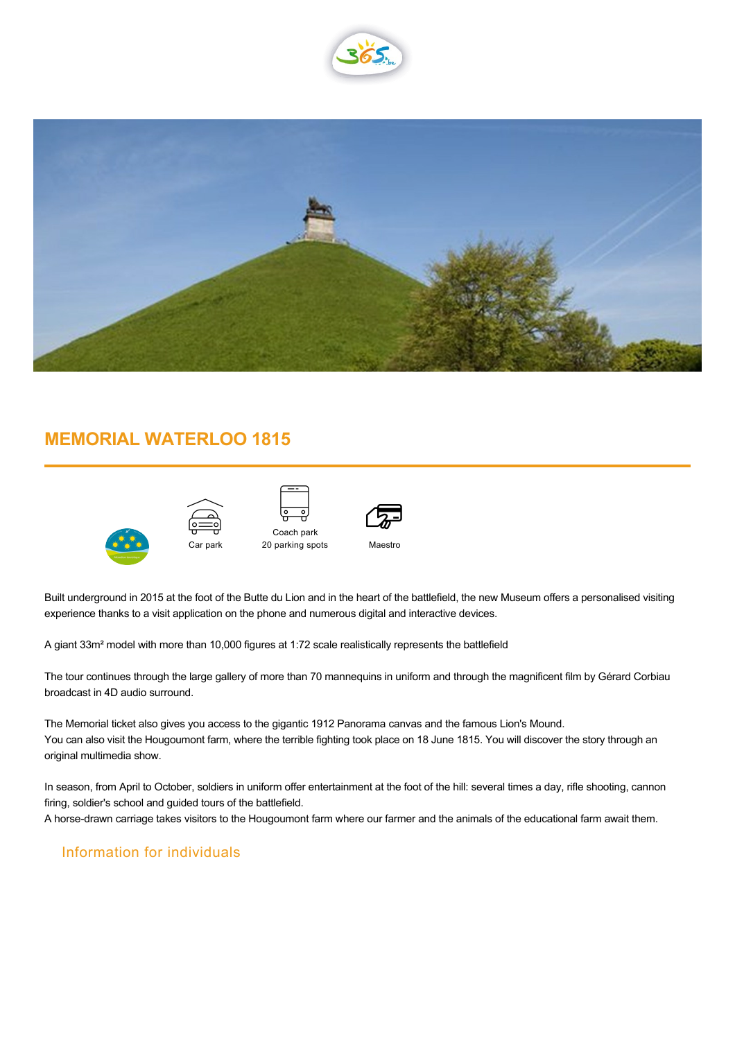



## **MEMORIAL WATERLOO 1815**



| Car park |  |
|----------|--|





Maestro

Built underground in 2015 at the foot of the Butte du Lion and in the heart of the battlefield, the new Museum offers a personalised visiting experience thanks to a visit application on the phone and numerous digital and interactive devices.

A giant 33m² model with more than 10,000 figures at 1:72 scale realistically represents the battlefield

The tour continues through the large gallery of more than 70 mannequins in uniform and through the magnificent film by Gérard Corbiau broadcast in 4D audio surround.

The Memorial ticket also gives you access to the gigantic 1912 Panorama canvas and the famous Lion's Mound. You can also visit the Hougoumont farm, where the terrible fighting took place on 18 June 1815. You will discover the story through an original multimedia show.

In season, from April to October, soldiers in uniform offer entertainment at the foot of the hill: several times a day, rifle shooting, cannon firing, soldier's school and guided tours of the battlefield.

A horse-drawn carriage takes visitors to the Hougoumont farm where our farmer and the animals of the educational farm await them.

## Information for individuals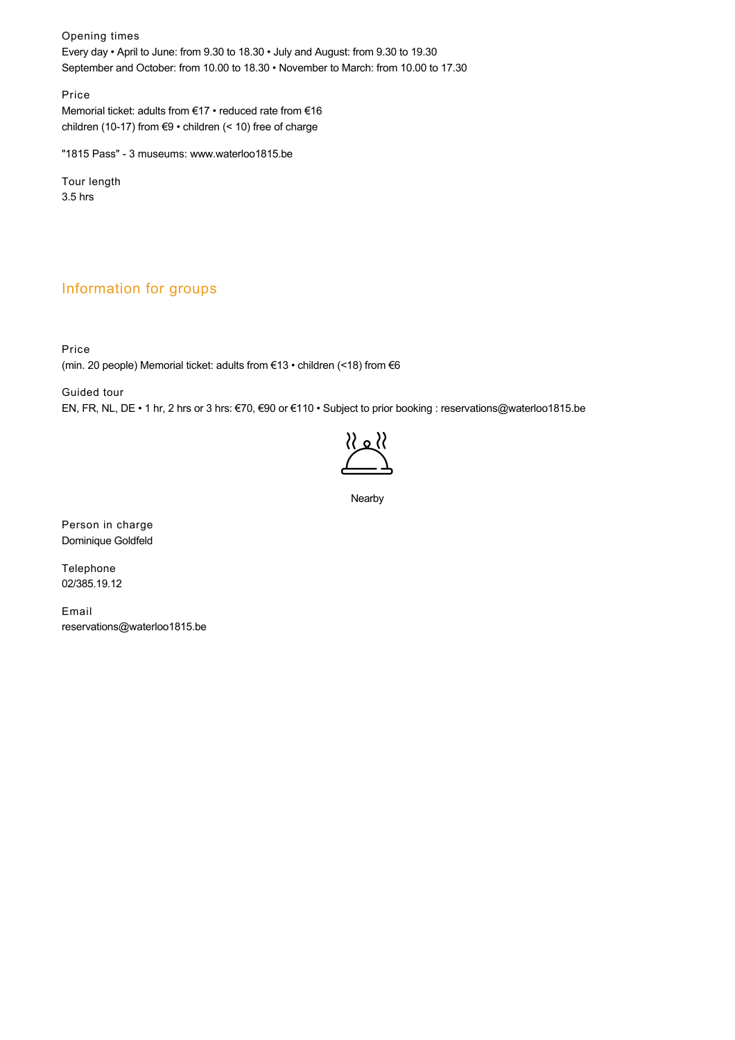Opening times Every day • April to June: from 9.30 to 18.30 • July and August: from 9.30 to 19.30 September and October: from 10.00 to 18.30 • November to March: from 10.00 to 17.30

Price Memorial ticket: adults from €17 • reduced rate from €16 children (10-17) from €9 • children (< 10) free of charge

"1815 Pass" - 3 museums: [www.waterloo1815.be](http://www.waterloo1815.be)

Tour length 3.5 hrs

## Information for groups

Price (min. 20 people) Memorial ticket: adults from €13 • children (<18) from €6

Guided tour

EN, FR, NL, DE • 1 hr, 2 hrs or 3 hrs: €70, €90 or €110 • Subject to prior booking : reservations@waterloo1815.be



Nearby

Person in charge Dominique Goldfeld

Telephone 02/385.19.12

Email reservations@waterloo1815.be